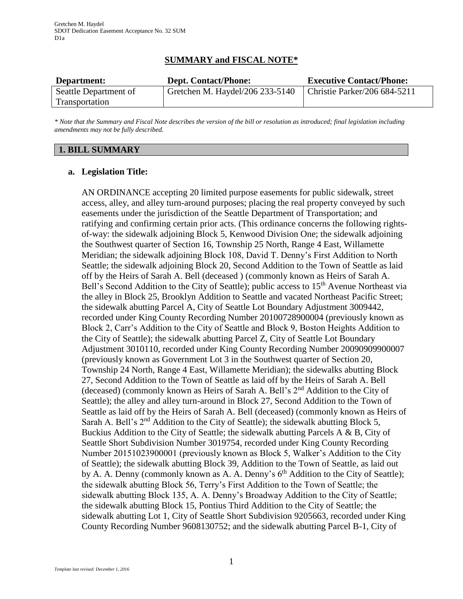# **SUMMARY and FISCAL NOTE\***

| Department:           | <b>Dept. Contact/Phone:</b>     | <b>Executive Contact/Phone:</b> |
|-----------------------|---------------------------------|---------------------------------|
| Seattle Department of | Gretchen M. Haydel/206 233-5140 | Christie Parker/206 684-5211    |
| Transportation        |                                 |                                 |

*\* Note that the Summary and Fiscal Note describes the version of the bill or resolution as introduced; final legislation including amendments may not be fully described.*

### **1. BILL SUMMARY**

#### **a. Legislation Title:**

AN ORDINANCE accepting 20 limited purpose easements for public sidewalk, street access, alley, and alley turn-around purposes; placing the real property conveyed by such easements under the jurisdiction of the Seattle Department of Transportation; and ratifying and confirming certain prior acts. (This ordinance concerns the following rightsof-way: the sidewalk adjoining Block 5, Kenwood Division One; the sidewalk adjoining the Southwest quarter of Section 16, Township 25 North, Range 4 East, Willamette Meridian; the sidewalk adjoining Block 108, David T. Denny's First Addition to North Seattle; the sidewalk adjoining Block 20, Second Addition to the Town of Seattle as laid off by the Heirs of Sarah A. Bell (deceased ) (commonly known as Heirs of Sarah A. Bell's Second Addition to the City of Seattle); public access to 15<sup>th</sup> Avenue Northeast via the alley in Block 25, Brooklyn Addition to Seattle and vacated Northeast Pacific Street; the sidewalk abutting Parcel A, City of Seattle Lot Boundary Adjustment 3009442, recorded under King County Recording Number 20100728900004 (previously known as Block 2, Carr's Addition to the City of Seattle and Block 9, Boston Heights Addition to the City of Seattle); the sidewalk abutting Parcel Z, City of Seattle Lot Boundary Adjustment 3010110, recorded under King County Recording Number 20090909900007 (previously known as Government Lot 3 in the Southwest quarter of Section 20, Township 24 North, Range 4 East, Willamette Meridian); the sidewalks abutting Block 27, Second Addition to the Town of Seattle as laid off by the Heirs of Sarah A. Bell (deceased) (commonly known as Heirs of Sarah A. Bell's 2nd Addition to the City of Seattle); the alley and alley turn-around in Block 27, Second Addition to the Town of Seattle as laid off by the Heirs of Sarah A. Bell (deceased) (commonly known as Heirs of Sarah A. Bell's 2<sup>nd</sup> Addition to the City of Seattle); the sidewalk abutting Block 5, Buckius Addition to the City of Seattle; the sidewalk abutting Parcels A & B, City of Seattle Short Subdivision Number 3019754, recorded under King County Recording Number 20151023900001 (previously known as Block 5, Walker's Addition to the City of Seattle); the sidewalk abutting Block 39, Addition to the Town of Seattle, as laid out by A. A. Denny (commonly known as A. A. Denny's  $6<sup>th</sup>$  Addition to the City of Seattle); the sidewalk abutting Block 56, Terry's First Addition to the Town of Seattle; the sidewalk abutting Block 135, A. A. Denny's Broadway Addition to the City of Seattle; the sidewalk abutting Block 15, Pontius Third Addition to the City of Seattle; the sidewalk abutting Lot 1, City of Seattle Short Subdivision 9205663, recorded under King County Recording Number 9608130752; and the sidewalk abutting Parcel B-1, City of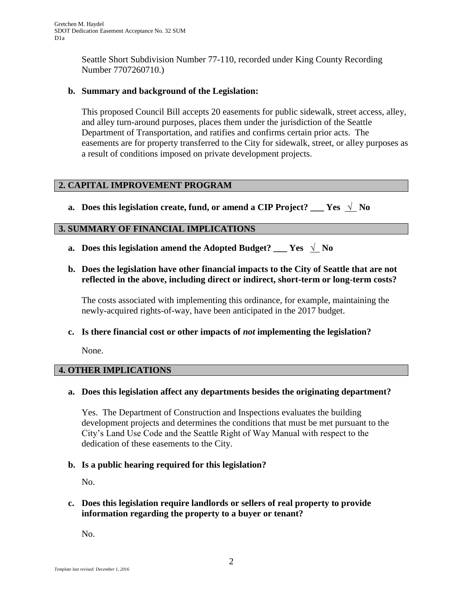Seattle Short Subdivision Number 77-110, recorded under King County Recording Number 7707260710.)

### **b. Summary and background of the Legislation:**

This proposed Council Bill accepts 20 easements for public sidewalk, street access, alley, and alley turn-around purposes, places them under the jurisdiction of the Seattle Department of Transportation, and ratifies and confirms certain prior acts. The easements are for property transferred to the City for sidewalk, street, or alley purposes as a result of conditions imposed on private development projects.

### **2. CAPITAL IMPROVEMENT PROGRAM**

**a.** Does this legislation create, fund, or amend a CIP Project? \_\_\_ Yes  $\sqrt{\ }$  No

### **3. SUMMARY OF FINANCIAL IMPLICATIONS**

- **a.** Does this legislation amend the Adopted Budget? \_\_\_ Yes  $\sqrt{\ }$  No
- **b. Does the legislation have other financial impacts to the City of Seattle that are not reflected in the above, including direct or indirect, short-term or long-term costs?**

The costs associated with implementing this ordinance, for example, maintaining the newly-acquired rights-of-way, have been anticipated in the 2017 budget.

**c. Is there financial cost or other impacts of** *not* **implementing the legislation?**

None.

### **4. OTHER IMPLICATIONS**

### **a. Does this legislation affect any departments besides the originating department?**

Yes. The Department of Construction and Inspections evaluates the building development projects and determines the conditions that must be met pursuant to the City's Land Use Code and the Seattle Right of Way Manual with respect to the dedication of these easements to the City.

### **b. Is a public hearing required for this legislation?**

No.

### **c. Does this legislation require landlords or sellers of real property to provide information regarding the property to a buyer or tenant?**

No.